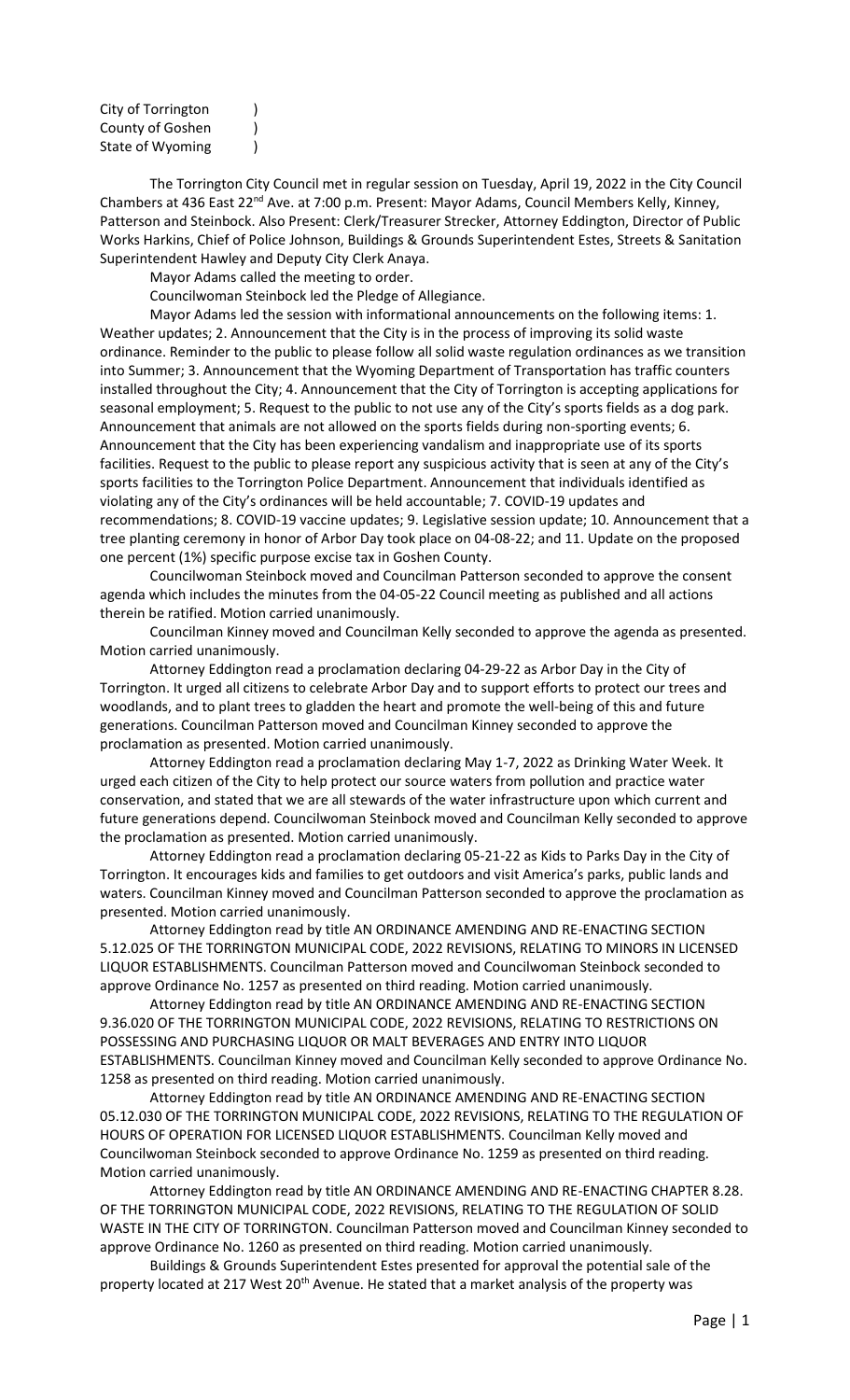| City of Torrington |  |
|--------------------|--|
| County of Goshen   |  |
| State of Wyoming   |  |

The Torrington City Council met in regular session on Tuesday, April 19, 2022 in the City Council Chambers at 436 East 22<sup>nd</sup> Ave. at 7:00 p.m. Present: Mayor Adams, Council Members Kelly, Kinney, Patterson and Steinbock. Also Present: Clerk/Treasurer Strecker, Attorney Eddington, Director of Public Works Harkins, Chief of Police Johnson, Buildings & Grounds Superintendent Estes, Streets & Sanitation Superintendent Hawley and Deputy City Clerk Anaya.

Mayor Adams called the meeting to order.

Councilwoman Steinbock led the Pledge of Allegiance.

Mayor Adams led the session with informational announcements on the following items: 1. Weather updates; 2. Announcement that the City is in the process of improving its solid waste ordinance. Reminder to the public to please follow all solid waste regulation ordinances as we transition into Summer; 3. Announcement that the Wyoming Department of Transportation has traffic counters installed throughout the City; 4. Announcement that the City of Torrington is accepting applications for seasonal employment; 5. Request to the public to not use any of the City's sports fields as a dog park. Announcement that animals are not allowed on the sports fields during non-sporting events; 6. Announcement that the City has been experiencing vandalism and inappropriate use of its sports facilities. Request to the public to please report any suspicious activity that is seen at any of the City's sports facilities to the Torrington Police Department. Announcement that individuals identified as violating any of the City's ordinances will be held accountable; 7. COVID-19 updates and recommendations; 8. COVID-19 vaccine updates; 9. Legislative session update; 10. Announcement that a tree planting ceremony in honor of Arbor Day took place on 04-08-22; and 11. Update on the proposed one percent (1%) specific purpose excise tax in Goshen County.

Councilwoman Steinbock moved and Councilman Patterson seconded to approve the consent agenda which includes the minutes from the 04-05-22 Council meeting as published and all actions therein be ratified. Motion carried unanimously.

Councilman Kinney moved and Councilman Kelly seconded to approve the agenda as presented. Motion carried unanimously.

Attorney Eddington read a proclamation declaring 04-29-22 as Arbor Day in the City of Torrington. It urged all citizens to celebrate Arbor Day and to support efforts to protect our trees and woodlands, and to plant trees to gladden the heart and promote the well-being of this and future generations. Councilman Patterson moved and Councilman Kinney seconded to approve the proclamation as presented. Motion carried unanimously.

Attorney Eddington read a proclamation declaring May 1-7, 2022 as Drinking Water Week. It urged each citizen of the City to help protect our source waters from pollution and practice water conservation, and stated that we are all stewards of the water infrastructure upon which current and future generations depend. Councilwoman Steinbock moved and Councilman Kelly seconded to approve the proclamation as presented. Motion carried unanimously.

Attorney Eddington read a proclamation declaring 05-21-22 as Kids to Parks Day in the City of Torrington. It encourages kids and families to get outdoors and visit America's parks, public lands and waters. Councilman Kinney moved and Councilman Patterson seconded to approve the proclamation as presented. Motion carried unanimously.

Attorney Eddington read by title AN ORDINANCE AMENDING AND RE-ENACTING SECTION 5.12.025 OF THE TORRINGTON MUNICIPAL CODE, 2022 REVISIONS, RELATING TO MINORS IN LICENSED LIQUOR ESTABLISHMENTS. Councilman Patterson moved and Councilwoman Steinbock seconded to approve Ordinance No. 1257 as presented on third reading. Motion carried unanimously.

Attorney Eddington read by title AN ORDINANCE AMENDING AND RE-ENACTING SECTION 9.36.020 OF THE TORRINGTON MUNICIPAL CODE, 2022 REVISIONS, RELATING TO RESTRICTIONS ON POSSESSING AND PURCHASING LIQUOR OR MALT BEVERAGES AND ENTRY INTO LIQUOR ESTABLISHMENTS. Councilman Kinney moved and Councilman Kelly seconded to approve Ordinance No. 1258 as presented on third reading. Motion carried unanimously.

Attorney Eddington read by title AN ORDINANCE AMENDING AND RE-ENACTING SECTION 05.12.030 OF THE TORRINGTON MUNICIPAL CODE, 2022 REVISIONS, RELATING TO THE REGULATION OF HOURS OF OPERATION FOR LICENSED LIQUOR ESTABLISHMENTS. Councilman Kelly moved and Councilwoman Steinbock seconded to approve Ordinance No. 1259 as presented on third reading. Motion carried unanimously.

Attorney Eddington read by title AN ORDINANCE AMENDING AND RE-ENACTING CHAPTER 8.28. OF THE TORRINGTON MUNICIPAL CODE, 2022 REVISIONS, RELATING TO THE REGULATION OF SOLID WASTE IN THE CITY OF TORRINGTON. Councilman Patterson moved and Councilman Kinney seconded to approve Ordinance No. 1260 as presented on third reading. Motion carried unanimously.

Buildings & Grounds Superintendent Estes presented for approval the potential sale of the property located at 217 West 20<sup>th</sup> Avenue. He stated that a market analysis of the property was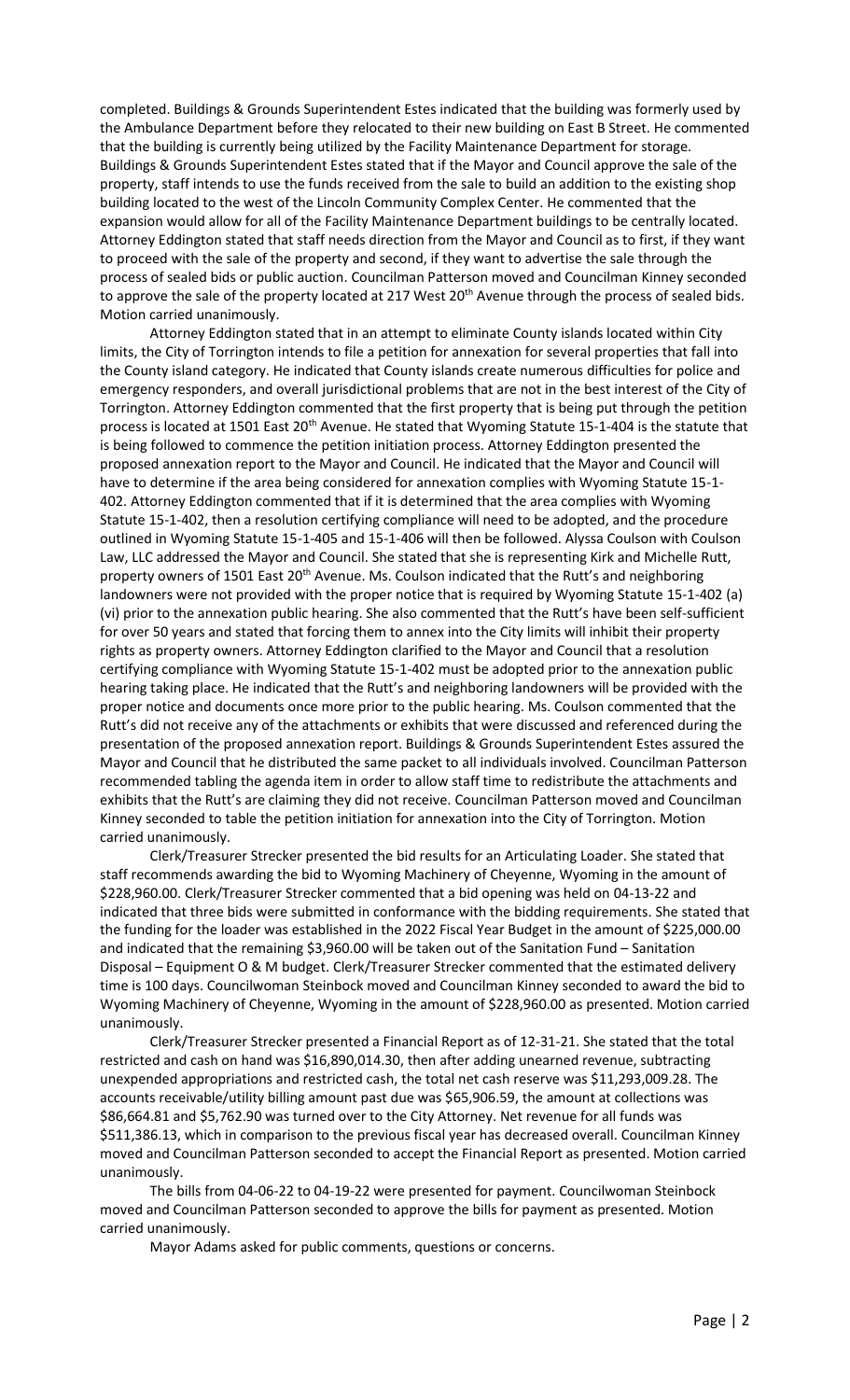completed. Buildings & Grounds Superintendent Estes indicated that the building was formerly used by the Ambulance Department before they relocated to their new building on East B Street. He commented that the building is currently being utilized by the Facility Maintenance Department for storage. Buildings & Grounds Superintendent Estes stated that if the Mayor and Council approve the sale of the property, staff intends to use the funds received from the sale to build an addition to the existing shop building located to the west of the Lincoln Community Complex Center. He commented that the expansion would allow for all of the Facility Maintenance Department buildings to be centrally located. Attorney Eddington stated that staff needs direction from the Mayor and Council as to first, if they want to proceed with the sale of the property and second, if they want to advertise the sale through the process of sealed bids or public auction. Councilman Patterson moved and Councilman Kinney seconded to approve the sale of the property located at 217 West 20<sup>th</sup> Avenue through the process of sealed bids. Motion carried unanimously.

Attorney Eddington stated that in an attempt to eliminate County islands located within City limits, the City of Torrington intends to file a petition for annexation for several properties that fall into the County island category. He indicated that County islands create numerous difficulties for police and emergency responders, and overall jurisdictional problems that are not in the best interest of the City of Torrington. Attorney Eddington commented that the first property that is being put through the petition process is located at 1501 East 20<sup>th</sup> Avenue. He stated that Wyoming Statute 15-1-404 is the statute that is being followed to commence the petition initiation process. Attorney Eddington presented the proposed annexation report to the Mayor and Council. He indicated that the Mayor and Council will have to determine if the area being considered for annexation complies with Wyoming Statute 15-1- 402. Attorney Eddington commented that if it is determined that the area complies with Wyoming Statute 15-1-402, then a resolution certifying compliance will need to be adopted, and the procedure outlined in Wyoming Statute 15-1-405 and 15-1-406 will then be followed. Alyssa Coulson with Coulson Law, LLC addressed the Mayor and Council. She stated that she is representing Kirk and Michelle Rutt, property owners of 1501 East 20<sup>th</sup> Avenue. Ms. Coulson indicated that the Rutt's and neighboring landowners were not provided with the proper notice that is required by Wyoming Statute 15-1-402 (a) (vi) prior to the annexation public hearing. She also commented that the Rutt's have been self-sufficient for over 50 years and stated that forcing them to annex into the City limits will inhibit their property rights as property owners. Attorney Eddington clarified to the Mayor and Council that a resolution certifying compliance with Wyoming Statute 15-1-402 must be adopted prior to the annexation public hearing taking place. He indicated that the Rutt's and neighboring landowners will be provided with the proper notice and documents once more prior to the public hearing. Ms. Coulson commented that the Rutt's did not receive any of the attachments or exhibits that were discussed and referenced during the presentation of the proposed annexation report. Buildings & Grounds Superintendent Estes assured the Mayor and Council that he distributed the same packet to all individuals involved. Councilman Patterson recommended tabling the agenda item in order to allow staff time to redistribute the attachments and exhibits that the Rutt's are claiming they did not receive. Councilman Patterson moved and Councilman Kinney seconded to table the petition initiation for annexation into the City of Torrington. Motion carried unanimously.

Clerk/Treasurer Strecker presented the bid results for an Articulating Loader. She stated that staff recommends awarding the bid to Wyoming Machinery of Cheyenne, Wyoming in the amount of \$228,960.00. Clerk/Treasurer Strecker commented that a bid opening was held on 04-13-22 and indicated that three bids were submitted in conformance with the bidding requirements. She stated that the funding for the loader was established in the 2022 Fiscal Year Budget in the amount of \$225,000.00 and indicated that the remaining \$3,960.00 will be taken out of the Sanitation Fund – Sanitation Disposal – Equipment O & M budget. Clerk/Treasurer Strecker commented that the estimated delivery time is 100 days. Councilwoman Steinbock moved and Councilman Kinney seconded to award the bid to Wyoming Machinery of Cheyenne, Wyoming in the amount of \$228,960.00 as presented. Motion carried unanimously.

Clerk/Treasurer Strecker presented a Financial Report as of 12-31-21. She stated that the total restricted and cash on hand was \$16,890,014.30, then after adding unearned revenue, subtracting unexpended appropriations and restricted cash, the total net cash reserve was \$11,293,009.28. The accounts receivable/utility billing amount past due was \$65,906.59, the amount at collections was \$86,664.81 and \$5,762.90 was turned over to the City Attorney. Net revenue for all funds was \$511,386.13, which in comparison to the previous fiscal year has decreased overall. Councilman Kinney moved and Councilman Patterson seconded to accept the Financial Report as presented. Motion carried unanimously.

The bills from 04-06-22 to 04-19-22 were presented for payment. Councilwoman Steinbock moved and Councilman Patterson seconded to approve the bills for payment as presented. Motion carried unanimously.

Mayor Adams asked for public comments, questions or concerns.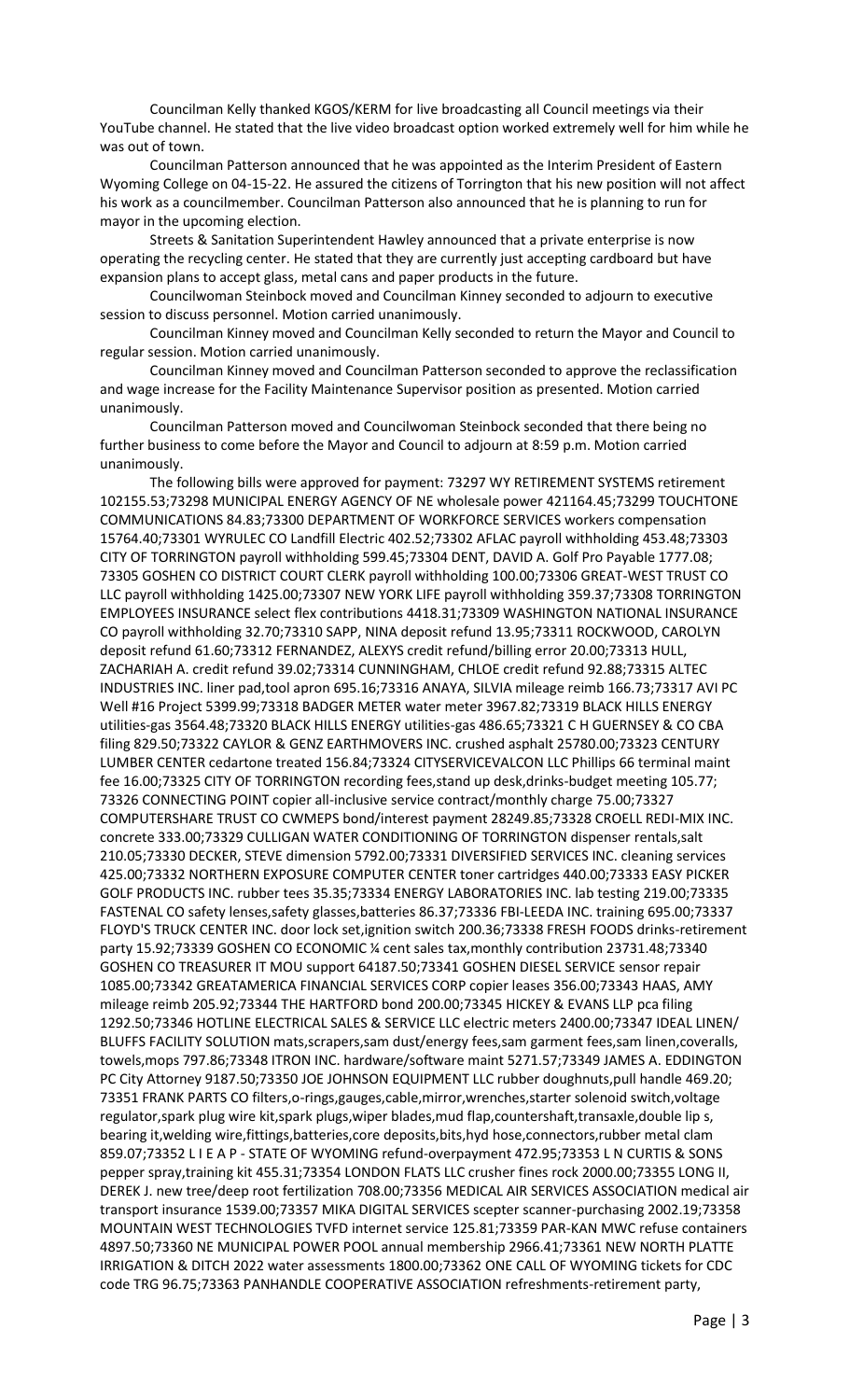Councilman Kelly thanked KGOS/KERM for live broadcasting all Council meetings via their YouTube channel. He stated that the live video broadcast option worked extremely well for him while he was out of town.

Councilman Patterson announced that he was appointed as the Interim President of Eastern Wyoming College on 04-15-22. He assured the citizens of Torrington that his new position will not affect his work as a councilmember. Councilman Patterson also announced that he is planning to run for mayor in the upcoming election.

Streets & Sanitation Superintendent Hawley announced that a private enterprise is now operating the recycling center. He stated that they are currently just accepting cardboard but have expansion plans to accept glass, metal cans and paper products in the future.

Councilwoman Steinbock moved and Councilman Kinney seconded to adjourn to executive session to discuss personnel. Motion carried unanimously.

Councilman Kinney moved and Councilman Kelly seconded to return the Mayor and Council to regular session. Motion carried unanimously.

Councilman Kinney moved and Councilman Patterson seconded to approve the reclassification and wage increase for the Facility Maintenance Supervisor position as presented. Motion carried unanimously.

Councilman Patterson moved and Councilwoman Steinbock seconded that there being no further business to come before the Mayor and Council to adjourn at 8:59 p.m. Motion carried unanimously.

The following bills were approved for payment: 73297 WY RETIREMENT SYSTEMS retirement 102155.53;73298 MUNICIPAL ENERGY AGENCY OF NE wholesale power 421164.45;73299 TOUCHTONE COMMUNICATIONS 84.83;73300 DEPARTMENT OF WORKFORCE SERVICES workers compensation 15764.40;73301 WYRULEC CO Landfill Electric 402.52;73302 AFLAC payroll withholding 453.48;73303 CITY OF TORRINGTON payroll withholding 599.45;73304 DENT, DAVID A. Golf Pro Payable 1777.08; 73305 GOSHEN CO DISTRICT COURT CLERK payroll withholding 100.00;73306 GREAT-WEST TRUST CO LLC payroll withholding 1425.00;73307 NEW YORK LIFE payroll withholding 359.37;73308 TORRINGTON EMPLOYEES INSURANCE select flex contributions 4418.31;73309 WASHINGTON NATIONAL INSURANCE CO payroll withholding 32.70;73310 SAPP, NINA deposit refund 13.95;73311 ROCKWOOD, CAROLYN deposit refund 61.60;73312 FERNANDEZ, ALEXYS credit refund/billing error 20.00;73313 HULL, ZACHARIAH A. credit refund 39.02;73314 CUNNINGHAM, CHLOE credit refund 92.88;73315 ALTEC INDUSTRIES INC. liner pad,tool apron 695.16;73316 ANAYA, SILVIA mileage reimb 166.73;73317 AVI PC Well #16 Project 5399.99;73318 BADGER METER water meter 3967.82;73319 BLACK HILLS ENERGY utilities-gas 3564.48;73320 BLACK HILLS ENERGY utilities-gas 486.65;73321 C H GUERNSEY & CO CBA filing 829.50;73322 CAYLOR & GENZ EARTHMOVERS INC. crushed asphalt 25780.00;73323 CENTURY LUMBER CENTER cedartone treated 156.84;73324 CITYSERVICEVALCON LLC Phillips 66 terminal maint fee 16.00;73325 CITY OF TORRINGTON recording fees,stand up desk,drinks-budget meeting 105.77; 73326 CONNECTING POINT copier all-inclusive service contract/monthly charge 75.00;73327 COMPUTERSHARE TRUST CO CWMEPS bond/interest payment 28249.85;73328 CROELL REDI-MIX INC. concrete 333.00;73329 CULLIGAN WATER CONDITIONING OF TORRINGTON dispenser rentals,salt 210.05;73330 DECKER, STEVE dimension 5792.00;73331 DIVERSIFIED SERVICES INC. cleaning services 425.00;73332 NORTHERN EXPOSURE COMPUTER CENTER toner cartridges 440.00;73333 EASY PICKER GOLF PRODUCTS INC. rubber tees 35.35;73334 ENERGY LABORATORIES INC. lab testing 219.00;73335 FASTENAL CO safety lenses,safety glasses,batteries 86.37;73336 FBI-LEEDA INC. training 695.00;73337 FLOYD'S TRUCK CENTER INC. door lock set,ignition switch 200.36;73338 FRESH FOODS drinks-retirement party 15.92;73339 GOSHEN CO ECONOMIC ¼ cent sales tax,monthly contribution 23731.48;73340 GOSHEN CO TREASURER IT MOU support 64187.50;73341 GOSHEN DIESEL SERVICE sensor repair 1085.00;73342 GREATAMERICA FINANCIAL SERVICES CORP copier leases 356.00;73343 HAAS, AMY mileage reimb 205.92;73344 THE HARTFORD bond 200.00;73345 HICKEY & EVANS LLP pca filing 1292.50;73346 HOTLINE ELECTRICAL SALES & SERVICE LLC electric meters 2400.00;73347 IDEAL LINEN/ BLUFFS FACILITY SOLUTION mats,scrapers,sam dust/energy fees,sam garment fees,sam linen,coveralls, towels,mops 797.86;73348 ITRON INC. hardware/software maint 5271.57;73349 JAMES A. EDDINGTON PC City Attorney 9187.50;73350 JOE JOHNSON EQUIPMENT LLC rubber doughnuts,pull handle 469.20; 73351 FRANK PARTS CO filters,o-rings,gauges,cable,mirror,wrenches,starter solenoid switch,voltage regulator,spark plug wire kit,spark plugs,wiper blades,mud flap,countershaft,transaxle,double lip s, bearing it,welding wire,fittings,batteries,core deposits,bits,hyd hose,connectors,rubber metal clam 859.07;73352 L I E A P - STATE OF WYOMING refund-overpayment 472.95;73353 L N CURTIS & SONS pepper spray,training kit 455.31;73354 LONDON FLATS LLC crusher fines rock 2000.00;73355 LONG II, DEREK J. new tree/deep root fertilization 708.00;73356 MEDICAL AIR SERVICES ASSOCIATION medical air transport insurance 1539.00;73357 MIKA DIGITAL SERVICES scepter scanner-purchasing 2002.19;73358 MOUNTAIN WEST TECHNOLOGIES TVFD internet service 125.81;73359 PAR-KAN MWC refuse containers 4897.50;73360 NE MUNICIPAL POWER POOL annual membership 2966.41;73361 NEW NORTH PLATTE IRRIGATION & DITCH 2022 water assessments 1800.00;73362 ONE CALL OF WYOMING tickets for CDC code TRG 96.75;73363 PANHANDLE COOPERATIVE ASSOCIATION refreshments-retirement party,